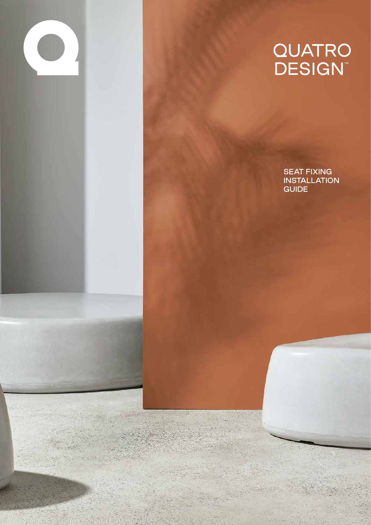# QUATRO<br>DESIGN™

SEAT FIXING **INSTALLATION GUIDE**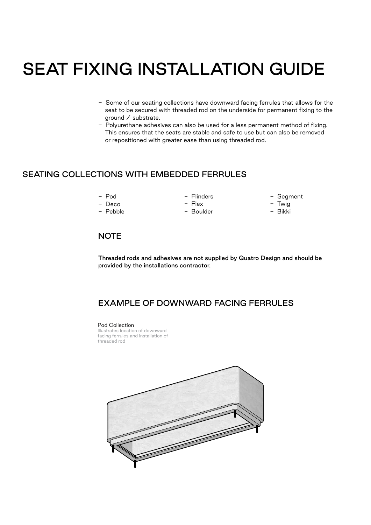## SEAT FIXING INSTALLATION GUIDE

- Some of our seating collections have downward facing ferrules that allows for the seat to be secured with threaded rod on the underside for permanent fixing to the ground / substrate.
- Polyurethane adhesives can also be used for a less permanent method of fixing. This ensures that the seats are stable and safe to use but can also be removed or repositioned with greater ease than using threaded rod.

#### SEATING COLLECTIONS WITH EMBEDDED FERRULES

- Pod
- Deco
- Pebble

- Flinders - Flex

- Boulder

- 
- Segment - Twig
	- Bikki

#### **NOTE**

Threaded rods and adhesives are not supplied by Quatro Design and should be provided by the installations contractor.

### EXAMPLE OF DOWNWARD FACING FERRULES

Pod Collection Illustrates location of downward facing ferrules and installation of threaded rod

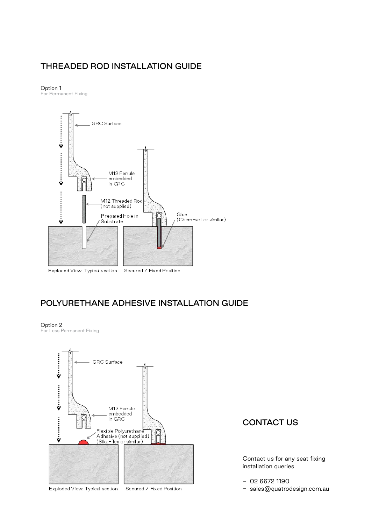#### THREADED ROD INSTALLATION GUIDE

Option 1

Option 2

For Permanent Fixing



### POLYURETHANE ADHESIVE INSTALLATION GUIDE



#### CONTACT US

Contact us for any seat fixing installation queries

- 02 6672 1190
- sales@quatrodesign.com.au